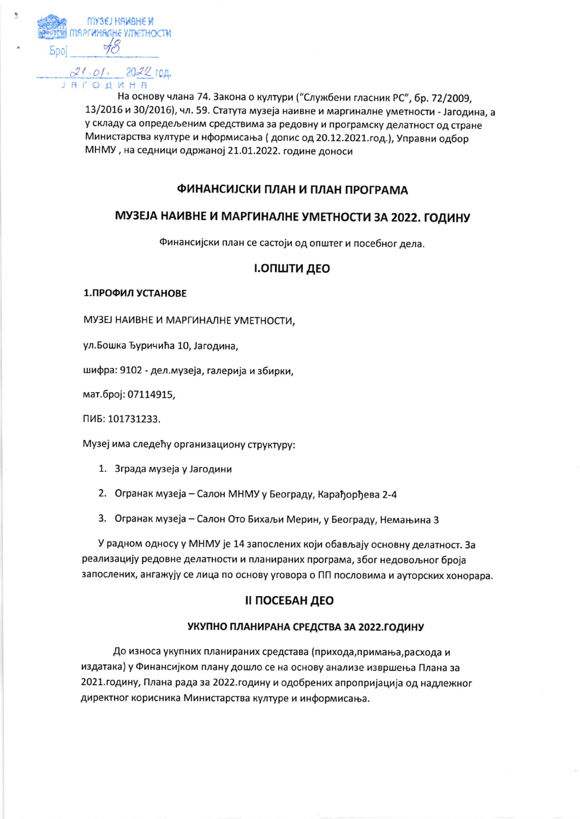

На основу члана 74. Закона о култури ("Службени гласник РС", бр. 72/2009. 13/2016 и 30/2016), чл. 59. Статута музеја наивне и маргиналне уметности - Јагодина, а у складу са опредељеним средствима за редовну и програмску делатност од стране Министарства културе и нформисања (допис од 20.12.2021.год.), Управни одбор МНМУ, на седници одржаној 21.01.2022. године доноси

# ФИНАНСИЈСКИ ПЛАН И ПЛАН ПРОГРАМА

# МУЗЕЈА НАИВНЕ И МАРГИНАЛНЕ УМЕТНОСТИ ЗА 2022. ГОДИНУ

Финансијски план се састоји од општег и посебног дела.

### І.ОПШТИ ДЕО

#### 1. ПРОФИЛ УСТАНОВЕ

МУЗЕЈ НАИВНЕ И МАРГИНАЛНЕ УМЕТНОСТИ,

ул. Бошка Ђуричића 10, Јагодина,

шифра: 9102 - дел.музеја, галерија и збирки,

мат.број: 07114915,

ПИБ: 101731233.

Музеј има следећу организациону структуру:

- 1. Зграда музеја у Јагодини
- 2. Огранак музеја Салон МНМУ у Београду, Карађорђева 2-4
- 3. Огранак музеја Салон Ото Бихаљи Мерин, у Београду, Немањина 3

У радном односу у МНМУ је 14 запослених који обављају основну делатност. За реализацију редовне делатности и планираних програма, због недовољног броја запослених, ангажују се лица по основу уговора о ПП пословима и ауторских хонорара.

## **II ПОСЕБАН ДЕО**

#### УКУПНО ПЛАНИРАНА СРЕДСТВА ЗА 2022. ГОДИНУ

До износа укупних планираних средстава (прихода, примања, расхода и издатака) у Финансијком плану дошло се на основу анализе извршења Плана за 2021. годину, Плана рада за 2022. годину и одобрених апропријација од надлежног директног корисника Министарства културе и информисања.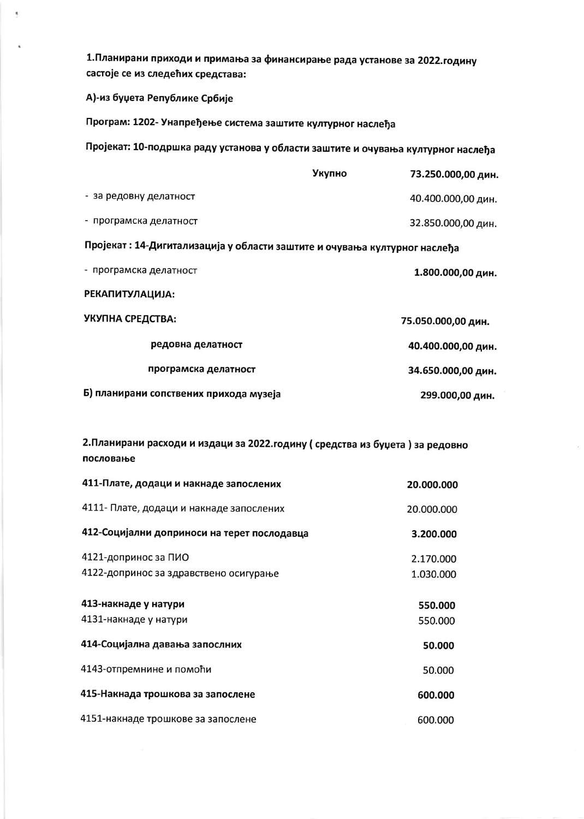1. Планирани приходи и примања за финансирање рада установе за 2022. годину састоје се из следећих средстава:

## А)-из буџета Републике Србије

Програм: 1202- Унапређење система заштите културног наслеђа

Пројекат: 10-подршка раду установа у области заштите и очувања културног наслеђа

|                                                                            | Укупно | 73.250.000,00 дин. |  |  |
|----------------------------------------------------------------------------|--------|--------------------|--|--|
| - за редовну делатност                                                     |        | 40.400.000,00 дин. |  |  |
| - програмска делатност                                                     |        | 32.850.000,00 дин. |  |  |
| Пројекат : 14-Дигитализација у области заштите и очувања културног наслеђа |        |                    |  |  |
| - програмска делатност                                                     |        | 1.800.000,00 дин.  |  |  |
| <b>РЕКАПИТУЛАЦИЈА:</b>                                                     |        |                    |  |  |
| УКУПНА СРЕДСТВА:                                                           |        | 75.050.000,00 дин. |  |  |
| редовна делатност                                                          |        | 40.400.000,00 дин. |  |  |
| програмска делатност                                                       |        | 34.650.000,00 дин. |  |  |
| Б) планирани сопствених прихода музеја                                     |        | 299.000,00 дин.    |  |  |

2. Планирани расходи и издаци за 2022. годину (средства из буџета) за редовно пословање

| 411-Плате, додаци и накнаде запослених        | 20.000.000         |
|-----------------------------------------------|--------------------|
| 4111- Плате, додаци и накнаде запослених      | 20.000.000         |
| 412-Социјални доприноси на терет послодавца   | 3.200.000          |
| 4121-допринос за ПИО                          | 2.170.000          |
| 4122-допринос за здравствено осигурање        | 1.030.000          |
| 413-накнаде у натури<br>4131-накнаде у натури | 550.000<br>550,000 |
| 414-Социјална давања запослних                | 50.000             |
| 4143-отпремнине и помоћи                      | 50.000             |
| 415-Накнада трошкова за запослене             | 600.000            |
| 4151-накнаде трошкове за запослене            | 600.000            |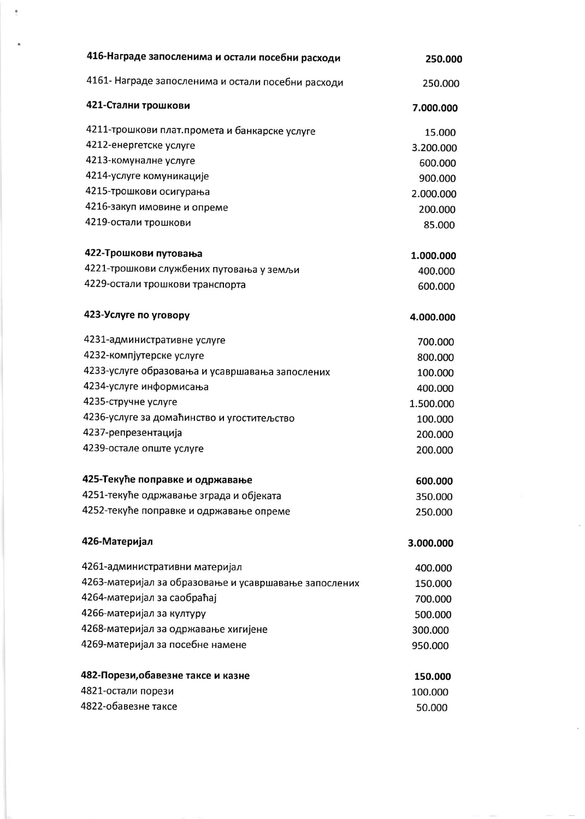| 416-Награде запосленима и остали посебни расходи      | 250.000   |
|-------------------------------------------------------|-----------|
| 4161- Награде запосленима и остали посебни расходи    | 250.000   |
| 421-Стални трошкови                                   | 7.000.000 |
| 4211-трошкови плат. промета и банкарске услуге        | 15.000    |
| 4212-енергетске услуге                                | 3.200.000 |
| 4213-комуналне услуге                                 | 600.000   |
| 4214-услуге комуникације                              | 900.000   |
| 4215-трошкови осигурања                               | 2.000.000 |
| 4216-закуп имовине и опреме                           | 200.000   |
| 4219-остали трошкови                                  | 85.000    |
| 422-Трошкови путовања                                 | 1.000.000 |
| 4221-трошкови службених путовања у земљи              | 400.000   |
| 4229-остали трошкови транспорта                       | 600.000   |
| 423-Услуге по уговору                                 | 4.000.000 |
| 4231-административне услуге                           | 700.000   |
| 4232-компјутерске услуге                              | 800.000   |
| 4233-услуге образовања и усавршавања запослених       | 100.000   |
| 4234-услуге информисања                               | 400.000   |
| 4235-стручне услуге                                   | 1.500.000 |
| 4236-услуге за домаћинство и угоститељство            | 100.000   |
| 4237-репрезентација                                   | 200.000   |
| 4239-остале опште услуге                              | 200.000   |
| 425-Текуће поправке и одржавање                       | 600.000   |
| 4251-текуће одржавање зграда и објеката               | 350.000   |
| 4252-текуће поправке и одржавање опреме               | 250.000   |
| 426-Материјал                                         | 3.000.000 |
| 4261-административни материјал                        | 400.000   |
| 4263-материјал за образовање и усавршавање запослених | 150.000   |
| 4264-материјал за саобраћај                           | 700.000   |
| 4266-материјал за културу                             | 500.000   |
| 4268-материјал за одржавање хигијене                  | 300.000   |
| 4269-материјал за посебне намене                      | 950.000   |
| 482-Порези, обавезне таксе и казне                    | 150.000   |
| 4821-остали порези                                    | 100.000   |
| 4822-обавезне таксе                                   | 50.000    |

 $\bar{\bar{\bar{x}}}$ 

 $\ddot{\phantom{1}}$